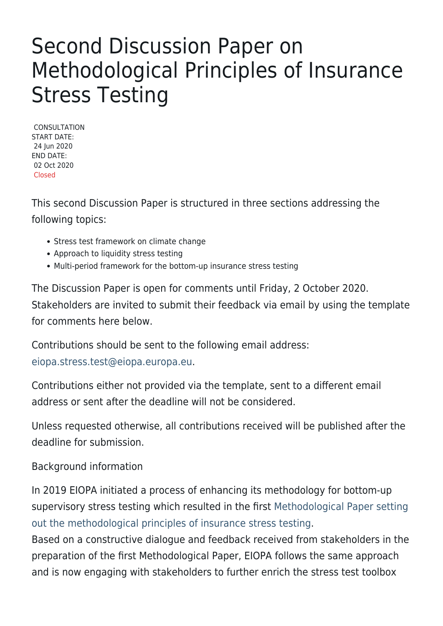## Second Discussion Paper on Methodological Principles of Insurance Stress Testing

CONSULTATION START DATE: 24 Jun 2020 END DATE: 02 Oct 2020 Closed

This second Discussion Paper is structured in three sections addressing the following topics:

- Stress test framework on climate change
- Approach to liquidity stress testing
- Multi-period framework for the bottom-up insurance stress testing

The Discussion Paper is open for comments until Friday, 2 October 2020. Stakeholders are invited to submit their feedback via email by using the template for comments here below.

Contributions should be sent to the following email address: [eiopa.stress.test@eiopa.europa.eu](mailto:eiopa.stress.test@eiopa.europa.eu).

Contributions either not provided via the template, sent to a different email address or sent after the deadline will not be considered.

Unless requested otherwise, all contributions received will be published after the deadline for submission.

Background information

In 2019 EIOPA initiated a process of enhancing its methodology for bottom-up supervisory stress testing which resulted in the first [Methodological Paper setting](https://www.eiopa.europa.eu/content/methodological-principles-insurance-stress-testing_en) [out the methodological principles of insurance stress testing](https://www.eiopa.europa.eu/content/methodological-principles-insurance-stress-testing_en).

Based on a constructive dialogue and feedback received from stakeholders in the preparation of the first Methodological Paper, EIOPA follows the same approach and is now engaging with stakeholders to further enrich the stress test toolbox